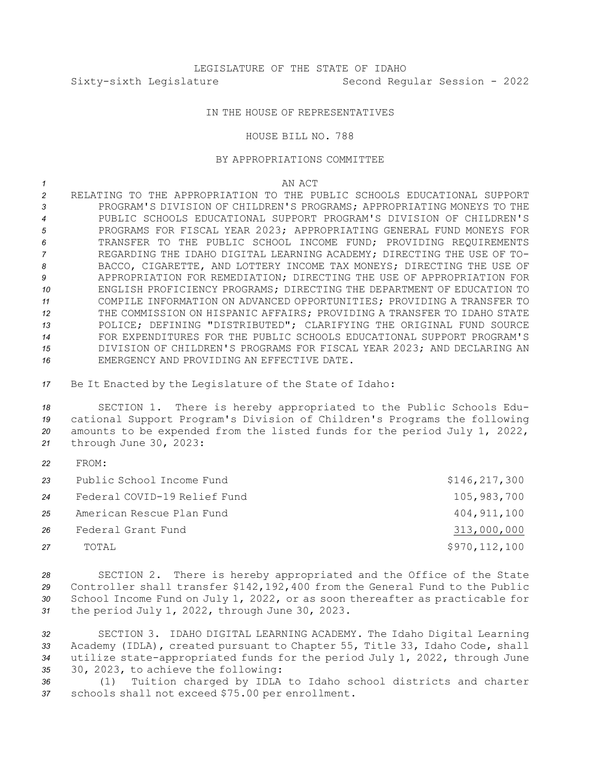## IN THE HOUSE OF REPRESENTATIVES

## HOUSE BILL NO. 788

## BY APPROPRIATIONS COMMITTEE

*1* AN ACT

- *2* RELATING TO THE APPROPRIATION TO THE PUBLIC SCHOOLS EDUCATIONAL SUPPORT *3* PROGRAM'S DIVISION OF CHILDREN'S PROGRAMS; APPROPRIATING MONEYS TO THE *4* PUBLIC SCHOOLS EDUCATIONAL SUPPORT PROGRAM'S DIVISION OF CHILDREN'S *5* PROGRAMS FOR FISCAL YEAR 2023; APPROPRIATING GENERAL FUND MONEYS FOR *6* TRANSFER TO THE PUBLIC SCHOOL INCOME FUND; PROVIDING REQUIREMENTS *7* REGARDING THE IDAHO DIGITAL LEARNING ACADEMY; DIRECTING THE USE OF TO-*8* BACCO, CIGARETTE, AND LOTTERY INCOME TAX MONEYS; DIRECTING THE USE OF *9* APPROPRIATION FOR REMEDIATION; DIRECTING THE USE OF APPROPRIATION FOR *10* ENGLISH PROFICIENCY PROGRAMS; DIRECTING THE DEPARTMENT OF EDUCATION TO *11* COMPILE INFORMATION ON ADVANCED OPPORTUNITIES; PROVIDING A TRANSFER TO *12* THE COMMISSION ON HISPANIC AFFAIRS; PROVIDING A TRANSFER TO IDAHO STATE *13* POLICE; DEFINING "DISTRIBUTED"; CLARIFYING THE ORIGINAL FUND SOURCE *14* FOR EXPENDITURES FOR THE PUBLIC SCHOOLS EDUCATIONAL SUPPORT PROGRAM'S *15* DIVISION OF CHILDREN'S PROGRAMS FOR FISCAL YEAR 2023; AND DECLARING AN *16* EMERGENCY AND PROVIDING AN EFFECTIVE DATE.
- *<sup>17</sup>* Be It Enacted by the Legislature of the State of Idaho:

 SECTION 1. There is hereby appropriated to the Public Schools Edu- cational Support Program's Division of Children's Programs the following amounts to be expended from the listed funds for the period July 1, 2022, through June 30, 2023:

*22* FROM:

| 23 | Public School Income Fund    | \$146, 217, 300 |
|----|------------------------------|-----------------|
| 24 | Federal COVID-19 Relief Fund | 105,983,700     |
| 25 | American Rescue Plan Fund    | 404, 911, 100   |
| 26 | Federal Grant Fund           | 313,000,000     |
| 27 | TOTAL                        | \$970,112,100   |

 SECTION 2. There is hereby appropriated and the Office of the State Controller shall transfer \$142,192,400 from the General Fund to the Public School Income Fund on July 1, 2022, or as soon thereafter as practicable for the period July 1, 2022, through June 30, 2023.

 SECTION 3. IDAHO DIGITAL LEARNING ACADEMY. The Idaho Digital Learning Academy (IDLA), created pursuant to Chapter 55, Title 33, Idaho Code, shall utilize state-appropriated funds for the period July 1, 2022, through June 30, 2023, to achieve the following:

*<sup>36</sup>* (1) Tuition charged by IDLA to Idaho school districts and charter *<sup>37</sup>* schools shall not exceed \$75.00 per enrollment.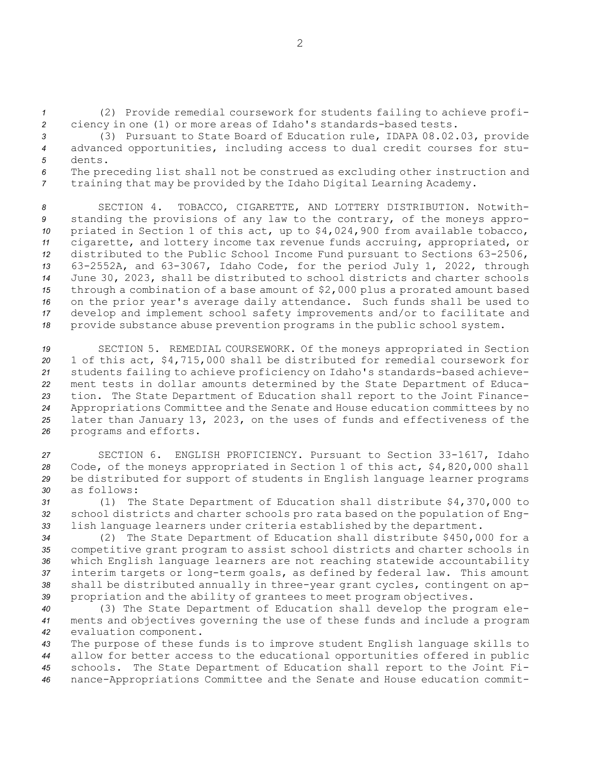*<sup>1</sup>* (2) Provide remedial coursework for students failing to achieve profi-*<sup>2</sup>* ciency in one (1) or more areas of Idaho's standards-based tests.

*<sup>3</sup>* (3) Pursuant to State Board of Education rule, IDAPA 08.02.03, provide *<sup>4</sup>* advanced opportunities, including access to dual credit courses for stu-*5* dents.

*<sup>6</sup>* The preceding list shall not be construed as excluding other instruction and *<sup>7</sup>* training that may be provided by the Idaho Digital Learning Academy.

 SECTION 4. TOBACCO, CIGARETTE, AND LOTTERY DISTRIBUTION. Notwith- standing the provisions of any law to the contrary, of the moneys appro- priated in Section 1 of this act, up to \$4,024,900 from available tobacco, cigarette, and lottery income tax revenue funds accruing, appropriated, or distributed to the Public School Income Fund pursuant to Sections 63-2506, 63-2552A, and 63-3067, Idaho Code, for the period July 1, 2022, through June 30, 2023, shall be distributed to school districts and charter schools through <sup>a</sup> combination of <sup>a</sup> base amount of \$2,000 plus <sup>a</sup> prorated amount based on the prior year's average daily attendance. Such funds shall be used to develop and implement school safety improvements and/or to facilitate and provide substance abuse prevention programs in the public school system.

 SECTION 5. REMEDIAL COURSEWORK. Of the moneys appropriated in Section 1 of this act, \$4,715,000 shall be distributed for remedial coursework for students failing to achieve proficiency on Idaho's standards-based achieve- ment tests in dollar amounts determined by the State Department of Educa- tion. The State Department of Education shall report to the Joint Finance- Appropriations Committee and the Senate and House education committees by no later than January 13, 2023, on the uses of funds and effectiveness of the programs and efforts.

 SECTION 6. ENGLISH PROFICIENCY. Pursuant to Section 33-1617, Idaho Code, of the moneys appropriated in Section 1 of this act, \$4,820,000 shall be distributed for support of students in English language learner programs as follows:

*<sup>31</sup>* (1) The State Department of Education shall distribute \$4,370,000 to *<sup>32</sup>* school districts and charter schools pro rata based on the population of Eng-*<sup>33</sup>* lish language learners under criteria established by the department.

 (2) The State Department of Education shall distribute \$450,000 for <sup>a</sup> competitive grant program to assist school districts and charter schools in which English language learners are not reaching statewide accountability interim targets or long-term goals, as defined by federal law. This amount shall be distributed annually in three-year grant cycles, contingent on ap-propriation and the ability of grantees to meet program objectives.

*<sup>40</sup>* (3) The State Department of Education shall develop the program ele-*<sup>41</sup>* ments and objectives governing the use of these funds and include <sup>a</sup> program *<sup>42</sup>* evaluation component.

 The purpose of these funds is to improve student English language skills to allow for better access to the educational opportunities offered in public schools. The State Department of Education shall report to the Joint Fi-nance-Appropriations Committee and the Senate and House education commit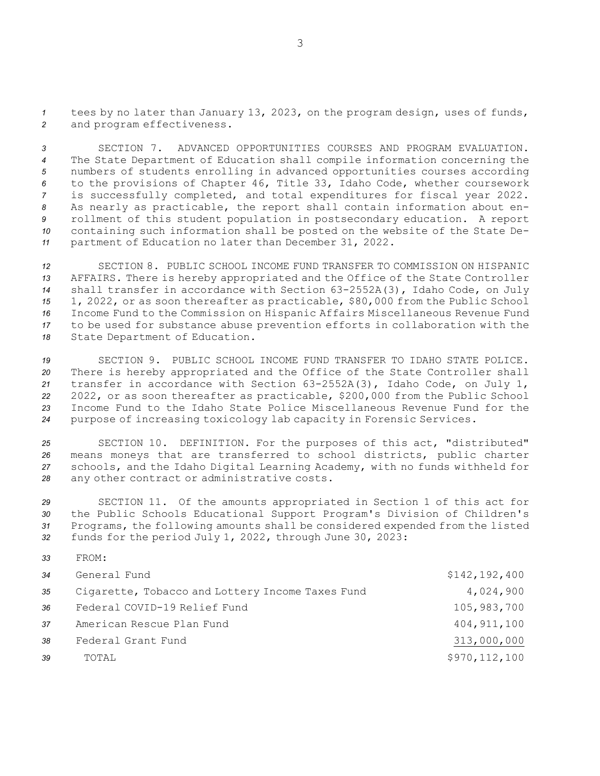*<sup>1</sup>* tees by no later than January 13, 2023, on the program design, uses of funds, *<sup>2</sup>* and program effectiveness.

 SECTION 7. ADVANCED OPPORTUNITIES COURSES AND PROGRAM EVALUATION. The State Department of Education shall compile information concerning the numbers of students enrolling in advanced opportunities courses according to the provisions of Chapter 46, Title 33, Idaho Code, whether coursework is successfully completed, and total expenditures for fiscal year 2022. As nearly as practicable, the report shall contain information about en- rollment of this student population in postsecondary education. <sup>A</sup> report containing such information shall be posted on the website of the State De-partment of Education no later than December 31, 2022.

 SECTION 8. PUBLIC SCHOOL INCOME FUND TRANSFER TO COMMISSION ON HISPANIC AFFAIRS. There is hereby appropriated and the Office of the State Controller shall transfer in accordance with Section 63-2552A(3), Idaho Code, on July 1, 2022, or as soon thereafter as practicable, \$80,000 from the Public School Income Fund to the Commission on Hispanic Affairs Miscellaneous Revenue Fund to be used for substance abuse prevention efforts in collaboration with the State Department of Education.

 SECTION 9. PUBLIC SCHOOL INCOME FUND TRANSFER TO IDAHO STATE POLICE. There is hereby appropriated and the Office of the State Controller shall transfer in accordance with Section 63-2552A(3), Idaho Code, on July 1, 2022, or as soon thereafter as practicable, \$200,000 from the Public School Income Fund to the Idaho State Police Miscellaneous Revenue Fund for the purpose of increasing toxicology lab capacity in Forensic Services.

 SECTION 10. DEFINITION. For the purposes of this act, "distributed" means moneys that are transferred to school districts, public charter schools, and the Idaho Digital Learning Academy, with no funds withheld for any other contract or administrative costs.

 SECTION 11. Of the amounts appropriated in Section 1 of this act for the Public Schools Educational Support Program's Division of Children's Programs, the following amounts shall be considered expended from the listed funds for the period July 1, 2022, through June 30, 2023:

*33* FROM:

| 34 | General Fund                                     | \$142, 192, 400 |
|----|--------------------------------------------------|-----------------|
| 35 | Cigarette, Tobacco and Lottery Income Taxes Fund | 4,024,900       |
| 36 | Federal COVID-19 Relief Fund                     | 105,983,700     |
| 37 | American Rescue Plan Fund                        | 404, 911, 100   |
| 38 | Federal Grant Fund                               | 313,000,000     |
| 39 | TOTAL                                            | \$970, 112, 100 |